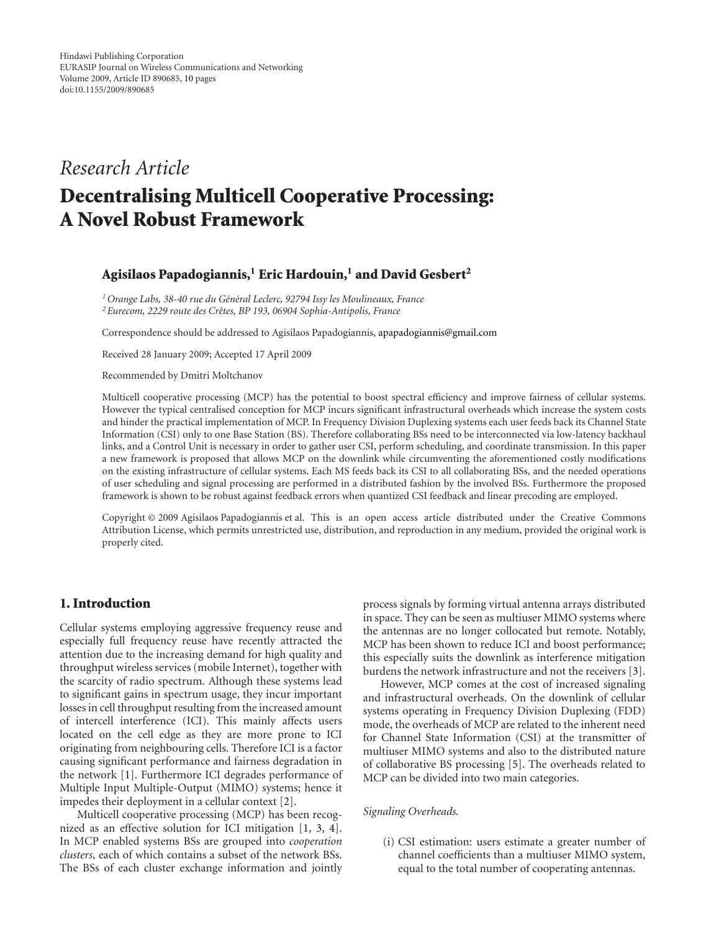## *Research Article*

## **Decentralising Multicell Cooperative Processing: A Novel Robust Framework**

### **Agisilaos Papadogiannis,1 Eric Hardouin,1 and David Gesbert2**

<sup>1</sup> Orange Labs, 38-40 rue du Général Leclerc, 92794 Issy les Moulineaux, France *2Eurecom, 2229 route des Crˆetes, BP 193, 06904 Sophia-Antipolis, France*

Correspondence should be addressed to Agisilaos Papadogiannis, apapadogiannis@gmail.com

Received 28 January 2009; Accepted 17 April 2009

Recommended by Dmitri Moltchanov

Multicell cooperative processing (MCP) has the potential to boost spectral efficiency and improve fairness of cellular systems. However the typical centralised conception for MCP incurs significant infrastructural overheads which increase the system costs and hinder the practical implementation of MCP. In Frequency Division Duplexing systems each user feeds back its Channel State Information (CSI) only to one Base Station (BS). Therefore collaborating BSs need to be interconnected via low-latency backhaul links, and a Control Unit is necessary in order to gather user CSI, perform scheduling, and coordinate transmission. In this paper a new framework is proposed that allows MCP on the downlink while circumventing the aforementioned costly modifications on the existing infrastructure of cellular systems. Each MS feeds back its CSI to all collaborating BSs, and the needed operations of user scheduling and signal processing are performed in a distributed fashion by the involved BSs. Furthermore the proposed framework is shown to be robust against feedback errors when quantized CSI feedback and linear precoding are employed.

Copyright © 2009 Agisilaos Papadogiannis et al. This is an open access article distributed under the Creative Commons Attribution License, which permits unrestricted use, distribution, and reproduction in any medium, provided the original work is properly cited.

### **1. Introduction**

Cellular systems employing aggressive frequency reuse and especially full frequency reuse have recently attracted the attention due to the increasing demand for high quality and throughput wireless services (mobile Internet), together with the scarcity of radio spectrum. Although these systems lead to significant gains in spectrum usage, they incur important losses in cell throughput resulting from the increased amount of intercell interference (ICI). This mainly affects users located on the cell edge as they are more prone to ICI originating from neighbouring cells. Therefore ICI is a factor causing significant performance and fairness degradation in the network [1]. Furthermore ICI degrades performance of Multiple Input Multiple-Output (MIMO) systems; hence it impedes their deployment in a cellular context [2].

Multicell cooperative processing (MCP) has been recognized as an effective solution for ICI mitigation [1, 3, 4]. In MCP enabled systems BSs are grouped into *cooperation clusters*, each of which contains a subset of the network BSs. The BSs of each cluster exchange information and jointly process signals by forming virtual antenna arrays distributed in space. They can be seen as multiuser MIMO systems where the antennas are no longer collocated but remote. Notably, MCP has been shown to reduce ICI and boost performance; this especially suits the downlink as interference mitigation burdens the network infrastructure and not the receivers [3].

However, MCP comes at the cost of increased signaling and infrastructural overheads. On the downlink of cellular systems operating in Frequency Division Duplexing (FDD) mode, the overheads of MCP are related to the inherent need for Channel State Information (CSI) at the transmitter of multiuser MIMO systems and also to the distributed nature of collaborative BS processing [5]. The overheads related to MCP can be divided into two main categories.

#### *Signaling Overheads.*

(i) CSI estimation: users estimate a greater number of channel coefficients than a multiuser MIMO system, equal to the total number of cooperating antennas.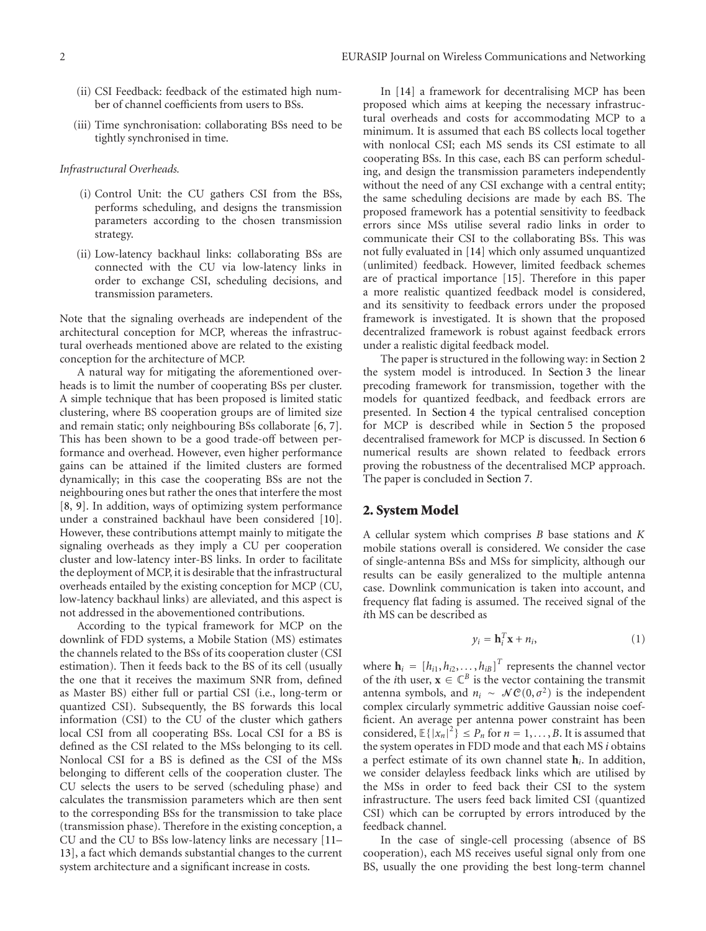- (ii) CSI Feedback: feedback of the estimated high number of channel coefficients from users to BSs.
- (iii) Time synchronisation: collaborating BSs need to be tightly synchronised in time.

#### *Infrastructural Overheads.*

- (i) Control Unit: the CU gathers CSI from the BSs, performs scheduling, and designs the transmission parameters according to the chosen transmission strategy.
- (ii) Low-latency backhaul links: collaborating BSs are connected with the CU via low-latency links in order to exchange CSI, scheduling decisions, and transmission parameters.

Note that the signaling overheads are independent of the architectural conception for MCP, whereas the infrastructural overheads mentioned above are related to the existing conception for the architecture of MCP.

A natural way for mitigating the aforementioned overheads is to limit the number of cooperating BSs per cluster. A simple technique that has been proposed is limited static clustering, where BS cooperation groups are of limited size and remain static; only neighbouring BSs collaborate [6, 7]. This has been shown to be a good trade-off between performance and overhead. However, even higher performance gains can be attained if the limited clusters are formed dynamically; in this case the cooperating BSs are not the neighbouring ones but rather the ones that interfere the most [8, 9]. In addition, ways of optimizing system performance under a constrained backhaul have been considered [10]. However, these contributions attempt mainly to mitigate the signaling overheads as they imply a CU per cooperation cluster and low-latency inter-BS links. In order to facilitate the deployment of MCP, it is desirable that the infrastructural overheads entailed by the existing conception for MCP (CU, low-latency backhaul links) are alleviated, and this aspect is not addressed in the abovementioned contributions.

According to the typical framework for MCP on the downlink of FDD systems, a Mobile Station (MS) estimates the channels related to the BSs of its cooperation cluster (CSI estimation). Then it feeds back to the BS of its cell (usually the one that it receives the maximum SNR from, defined as Master BS) either full or partial CSI (i.e., long-term or quantized CSI). Subsequently, the BS forwards this local information (CSI) to the CU of the cluster which gathers local CSI from all cooperating BSs. Local CSI for a BS is defined as the CSI related to the MSs belonging to its cell. Nonlocal CSI for a BS is defined as the CSI of the MSs belonging to different cells of the cooperation cluster. The CU selects the users to be served (scheduling phase) and calculates the transmission parameters which are then sent to the corresponding BSs for the transmission to take place (transmission phase). Therefore in the existing conception, a CU and the CU to BSs low-latency links are necessary [11– 13], a fact which demands substantial changes to the current system architecture and a significant increase in costs.

In [14] a framework for decentralising MCP has been proposed which aims at keeping the necessary infrastructural overheads and costs for accommodating MCP to a minimum. It is assumed that each BS collects local together with nonlocal CSI; each MS sends its CSI estimate to all cooperating BSs. In this case, each BS can perform scheduling, and design the transmission parameters independently without the need of any CSI exchange with a central entity; the same scheduling decisions are made by each BS. The proposed framework has a potential sensitivity to feedback errors since MSs utilise several radio links in order to communicate their CSI to the collaborating BSs. This was not fully evaluated in [14] which only assumed unquantized (unlimited) feedback. However, limited feedback schemes are of practical importance [15]. Therefore in this paper a more realistic quantized feedback model is considered, and its sensitivity to feedback errors under the proposed framework is investigated. It is shown that the proposed decentralized framework is robust against feedback errors under a realistic digital feedback model.

The paper is structured in the following way: in Section 2 the system model is introduced. In Section 3 the linear precoding framework for transmission, together with the models for quantized feedback, and feedback errors are presented. In Section 4 the typical centralised conception for MCP is described while in Section 5 the proposed decentralised framework for MCP is discussed. In Section 6 numerical results are shown related to feedback errors proving the robustness of the decentralised MCP approach. The paper is concluded in Section 7.

### **2. System Model**

A cellular system which comprises *B* base stations and *K* mobile stations overall is considered. We consider the case of single-antenna BSs and MSs for simplicity, although our results can be easily generalized to the multiple antenna case. Downlink communication is taken into account, and frequency flat fading is assumed. The received signal of the *i*th MS can be described as

$$
y_i = \mathbf{h}_i^T \mathbf{x} + n_i,\tag{1}
$$

where  $\mathbf{h}_i = [h_{i1}, h_{i2}, \dots, h_{iB}]^T$  represents the channel vector of the *i*th user,  $\mathbf{x} \in \mathbb{C}^B$  is the vector containing the transmit antenna symbols, and  $n_i \sim \mathcal{NC}(0, \sigma^2)$  is the independent complex circularly symmetric additive Gaussian noise coefficient. An average per antenna power constraint has been considered,  $\mathbb{E}\{|x_n|^2\} \leq P_n$  for  $n = 1, ..., B$ . It is assumed that the system operates in FDD mode and that each MS *i* obtains a perfect estimate of its own channel state **h***i*. In addition, we consider delayless feedback links which are utilised by the MSs in order to feed back their CSI to the system infrastructure. The users feed back limited CSI (quantized CSI) which can be corrupted by errors introduced by the feedback channel.

In the case of single-cell processing (absence of BS cooperation), each MS receives useful signal only from one BS, usually the one providing the best long-term channel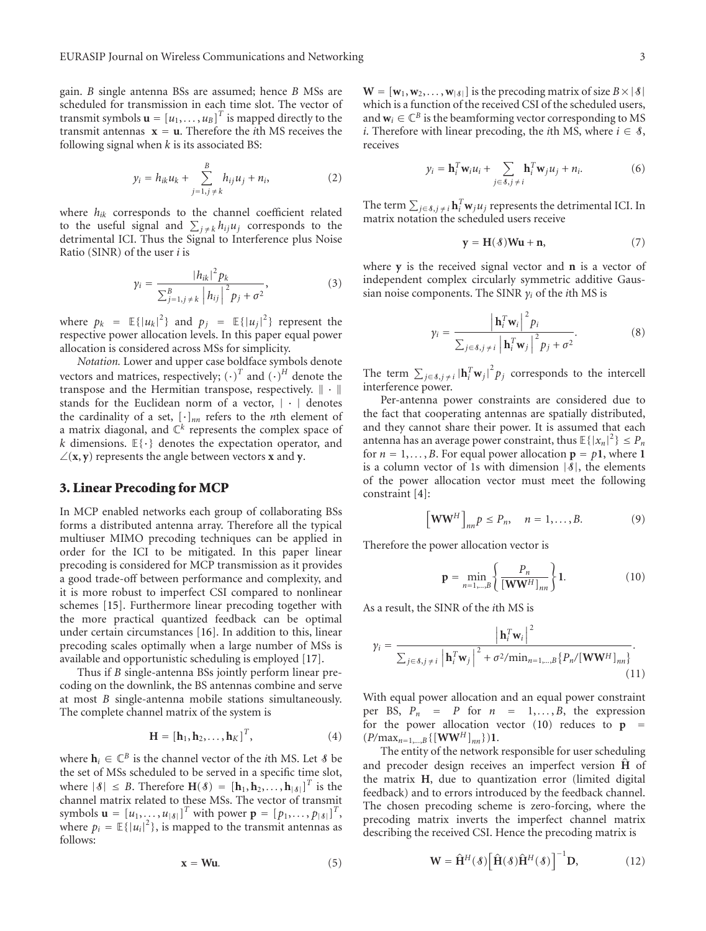gain. *B* single antenna BSs are assumed; hence *B* MSs are scheduled for transmission in each time slot. The vector of transmit symbols  $\mathbf{u} = [u_1, \dots, u_B]^T$  is mapped directly to the transmit antennas  $\mathbf{x} = \mathbf{u}$ . Therefore the *i*th MS receives the following signal when *k* is its associated BS:

$$
y_i = h_{ik} u_k + \sum_{j=1, j \neq k}^{B} h_{ij} u_j + n_i,
$$
 (2)

where *hik* corresponds to the channel coefficient related to the useful signal and  $\sum_{j \neq k} h_{ij} u_j$  corresponds to the detrimental ICI. Thus the Signal to Interference plus Noise Ratio (SINR) of the user *i* is

$$
\gamma_i = \frac{|h_{ik}|^2 p_k}{\sum_{j=1, j \neq k}^B |h_{ij}|^2 p_j + \sigma^2},
$$
\n(3)

where  $p_k = \mathbb{E}\{|u_k|^2\}$  and  $p_j = \mathbb{E}\{|u_j|^2\}$  represent the respective power allocation levels. In this paper equal power allocation is considered across MSs for simplicity.

*Notation.* Lower and upper case boldface symbols denote vectors and matrices, respectively;  $(\cdot)^T$  and  $(\cdot)^H$  denote the transpose and the Hermitian transpose, respectively.  $\|\cdot\|$ stands for the Euclidean norm of a vector,  $|\cdot|$  denotes the cardinality of a set,  $[\cdot]_{nn}$  refers to the *n*th element of a matrix diagonal, and  $\mathbb{C}^k$  represents the complex space of *k* dimensions.  $E\{\cdot\}$  denotes the expectation operator, and ∠(**x**, **y**) represents the angle between vectors **x** and **y**.

### **3. Linear Precoding for MCP**

In MCP enabled networks each group of collaborating BSs forms a distributed antenna array. Therefore all the typical multiuser MIMO precoding techniques can be applied in order for the ICI to be mitigated. In this paper linear precoding is considered for MCP transmission as it provides a good trade-off between performance and complexity, and it is more robust to imperfect CSI compared to nonlinear schemes [15]. Furthermore linear precoding together with the more practical quantized feedback can be optimal under certain circumstances [16]. In addition to this, linear precoding scales optimally when a large number of MSs is available and opportunistic scheduling is employed [17].

Thus if *B* single-antenna BSs jointly perform linear precoding on the downlink, the BS antennas combine and serve at most *B* single-antenna mobile stations simultaneously. The complete channel matrix of the system is

$$
\mathbf{H} = [\mathbf{h}_1, \mathbf{h}_2, \dots, \mathbf{h}_K]^T, \tag{4}
$$

where  $\mathbf{h}_i \in \mathbb{C}^B$  is the channel vector of the *i*th MS. Let *§* be the set of MSs scheduled to be served in a specific time slot, where  $|\mathcal{S}| \leq B$ . Therefore  $\mathbf{H}(\mathcal{S}) = [\mathbf{h}_1, \mathbf{h}_2, \dots, \mathbf{h}_{|\mathcal{S}|}]^T$  is the channel matrix related to these MSs. The vector of transmit symbols  $\mathbf{u} = [u_1, \dots, u_{|\mathcal{S}|}]^T$  with power  $\mathbf{p} = [p_1, \dots, p_{|\mathcal{S}|}]^T$ , where  $p_i = \mathbb{E}\{|u_i|^2\}$ , is mapped to the transmit antennas as follows:

$$
\mathbf{x} = \mathbf{W} \mathbf{u}.\tag{5}
$$

 $W = [\mathbf{w}_1, \mathbf{w}_2, \dots, \mathbf{w}_{|\mathcal{S}|}]$  is the precoding matrix of size  $B \times |\mathcal{S}|$ which is a function of the received CSI of the scheduled users, and  $\mathbf{w}_i \in \mathbb{C}^B$  is the beamforming vector corresponding to MS *i*. Therefore with linear precoding, the *i*th MS, where  $i \in \mathcal{S}$ , receives

$$
y_i = \mathbf{h}_i^T \mathbf{w}_i u_i + \sum_{j \in \delta, j \neq i} \mathbf{h}_i^T \mathbf{w}_j u_j + n_i.
$$
 (6)

The term  $\sum_{j \in \mathcal{S}, j \neq i} \mathbf{h}_i^T \mathbf{w}_j u_j$  represents the detrimental ICI. In matrix notation the scheduled users receive

$$
y = H(\mathcal{S})Wu + n,
$$
 (7)

where **y** is the received signal vector and **n** is a vector of independent complex circularly symmetric additive Gaussian noise components. The SINR *γi* of the *i*th MS is

$$
\gamma_i = \frac{\left|\mathbf{h}_i^T \mathbf{w}_i\right|^2 p_i}{\sum_{j \in \delta, j \neq i} \left|\mathbf{h}_i^T \mathbf{w}_j\right|^2 p_j + \sigma^2}.
$$
 (8)

The term  $\sum_{j \in \mathcal{S}, j \neq i} |\mathbf{h}_i^T \mathbf{w}_j|^2 p_j$  corresponds to the intercell interference power.

Per-antenna power constraints are considered due to the fact that cooperating antennas are spatially distributed, and they cannot share their power. It is assumed that each antenna has an average power constraint, thus  $\mathbb{E}\{|x_n|^2\} \leq P_n$ for  $n = 1, \ldots, B$ . For equal power allocation  $p = p1$ , where 1 is a column vector of 1s with dimension  $|\mathcal{S}|$ , the elements of the power allocation vector must meet the following constraint [4]:

$$
\left[\mathbf{WW}^H\right]_{nn}p \le P_n, \quad n = 1, \dots, B. \tag{9}
$$

Therefore the power allocation vector is

$$
\mathbf{p} = \min_{n=1,\dots,B} \left\{ \frac{P_n}{\left[\mathbf{WW}^H\right]_{nn}} \right\} \mathbf{1}.
$$
 (10)

As a result, the SINR of the *i*th MS is

$$
\gamma_i = \frac{\left|\mathbf{h}_i^T \mathbf{w}_i\right|^2}{\sum_{j \in \delta, j \neq i} \left|\mathbf{h}_i^T \mathbf{w}_j\right|^2 + \sigma^2 / \min_{n=1,\dots,B} \left\{P_n / [\mathbf{WW}^H]_{nn}\right\}}.
$$
\n(11)

With equal power allocation and an equal power constraint per BS,  $P_n = P$  for  $n = 1, \ldots, B$ , the expression for the power allocation vector  $(10)$  reduces to  $p =$  $(P/\max_{n=1,...,B} \{ [WW^H]_{nn} \})$ 1.

The entity of the network responsible for user scheduling and precoder design receives an imperfect version **<sup>H</sup>** of the matrix **H**, due to quantization error (limited digital feedback) and to errors introduced by the feedback channel. The chosen precoding scheme is zero-forcing, where the precoding matrix inverts the imperfect channel matrix describing the received CSI. Hence the precoding matrix is

$$
\mathbf{W} = \hat{\mathbf{H}}^{H}(\mathcal{S}) \Big[ \hat{\mathbf{H}}(\mathcal{S}) \hat{\mathbf{H}}^{H}(\mathcal{S}) \Big]^{-1} \mathbf{D}, \tag{12}
$$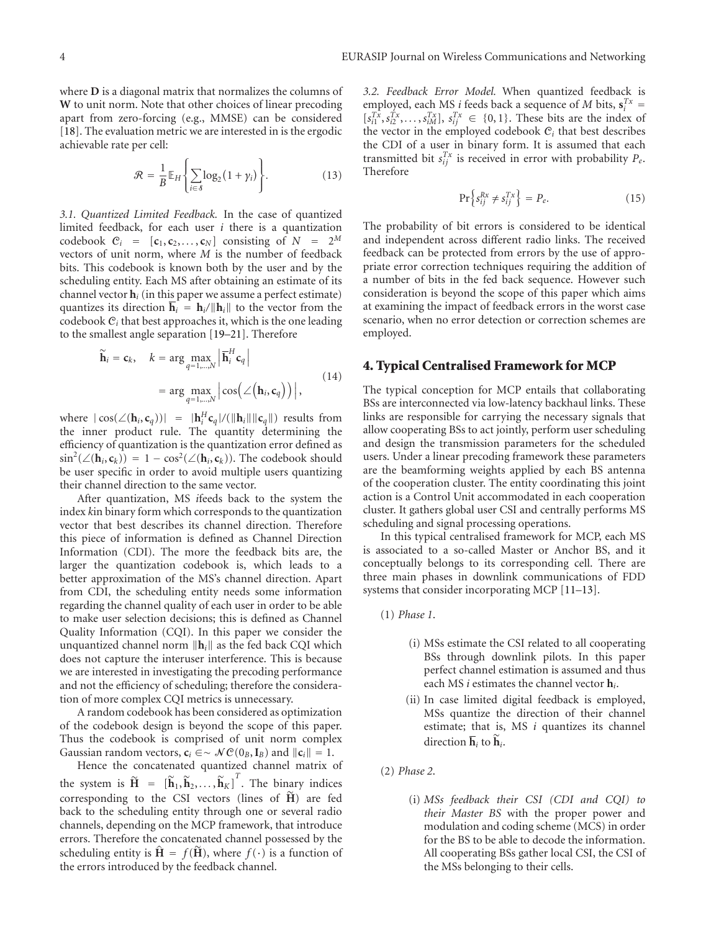where **D** is a diagonal matrix that normalizes the columns of **W** to unit norm. Note that other choices of linear precoding apart from zero-forcing (e.g., MMSE) can be considered [18]. The evaluation metric we are interested in is the ergodic achievable rate per cell:

$$
\mathcal{R} = \frac{1}{B} \mathbb{E}_H \Biggl\{ \sum_{i \in \delta} \log_2 \left( 1 + \gamma_i \right) \Biggr\}.
$$
 (13)

*3.1. Quantized Limited Feedback.* In the case of quantized limited feedback, for each user *i* there is a quantization codebook  $C_i = [\mathbf{c}_1, \mathbf{c}_2, \dots, \mathbf{c}_N]$  consisting of  $N = 2^M$ vectors of unit norm, where *M* is the number of feedback bits. This codebook is known both by the user and by the scheduling entity. Each MS after obtaining an estimate of its channel vector  $\mathbf{h}_i$  (in this paper we assume a perfect estimate) quantizes its direction  $\overline{\mathbf{h}}_i = \mathbf{h}_i / ||\mathbf{h}_i||$  to the vector from the codebook C*<sup>i</sup>* that best approaches it, which is the one leading to the smallest angle separation [19–21]. Therefore

$$
\widetilde{\mathbf{h}}_i = \mathbf{c}_k, \quad k = \arg \max_{q=1,\dots,N} \left| \overline{\mathbf{h}}_i^H \mathbf{c}_q \right|
$$
\n
$$
= \arg \max_{q=1,\dots,N} \left| \cos \left( \angle \left( \mathbf{h}_i, \mathbf{c}_q \right) \right) \right|,
$$
\n(14)

where  $|\cos(\angle(\mathbf{h}_i, \mathbf{c}_q))| = |\mathbf{h}_i^H \mathbf{c}_q| / (||\mathbf{h}_i|| ||\mathbf{c}_q||)$  results from the inner product rule. The quantity determining the efficiency of quantization is the quantization error defined as  $\sin^2(\angle(\mathbf{h}_i, \mathbf{c}_k)) = 1 - \cos^2(\angle(\mathbf{h}_i, \mathbf{c}_k))$ . The codebook should be user specific in order to avoid multiple users quantizing their channel direction to the same vector.

After quantization, MS *i*feeds back to the system the index *k*in binary form which corresponds to the quantization vector that best describes its channel direction. Therefore this piece of information is defined as Channel Direction Information (CDI). The more the feedback bits are, the larger the quantization codebook is, which leads to a better approximation of the MS's channel direction. Apart from CDI, the scheduling entity needs some information regarding the channel quality of each user in order to be able to make user selection decisions; this is defined as Channel Quality Information (CQI). In this paper we consider the unquantized channel norm  $\|\mathbf{h}_i\|$  as the fed back CQI which does not capture the interuser interference. This is because we are interested in investigating the precoding performance and not the efficiency of scheduling; therefore the consideration of more complex CQI metrics is unnecessary.

A random codebook has been considered as optimization of the codebook design is beyond the scope of this paper. Thus the codebook is comprised of unit norm complex Gaussian random vectors,  $\mathbf{c}_i \in \sim \mathcal{N}\mathcal{C}(\mathbf{0}_B, \mathbf{I}_B)$  and  $\|\mathbf{c}_i\| = 1$ .

Hence the concatenated quantized channel matrix of the system is  $\widetilde{\mathbf{H}} = [\widetilde{\mathbf{h}}_1, \widetilde{\mathbf{h}}_2, \dots, \widetilde{\mathbf{h}}_K]^T$ . The binary indices corresponding to the CSI vectors (lines of  $\tilde{H}$ ) are fed back to the scheduling entity through one or several radio channels, depending on the MCP framework, that introduce errors. Therefore the concatenated channel possessed by the scheduling entity is  $\hat{H} = f(\tilde{H})$ , where  $f(\cdot)$  is a function of the errors introduced by the feedback channel.

*3.2. Feedback Error Model.* When quantized feedback is employed, each MS *i* feeds back a sequence of *M* bits,  $\mathbf{s}_i^{Tx} =$  $[s_{i1}^{Tx}, s_{i2}^{Tx}, \ldots, s_{iM}^{Tx}], s_{ij}^{Tx} \in \{0, 1\}.$  These bits are the index of the vector in the employed codebook  $C_i$  that best describes the CDI of a user in binary form. It is assumed that each transmitted bit  $s_{ij}^{Tx}$  is received in error with probability  $P_e$ . Therefore

$$
\Pr\left\{s_{ij}^{Rx} \neq s_{ij}^{Tx}\right\} = P_e. \tag{15}
$$

The probability of bit errors is considered to be identical and independent across different radio links. The received feedback can be protected from errors by the use of appropriate error correction techniques requiring the addition of a number of bits in the fed back sequence. However such consideration is beyond the scope of this paper which aims at examining the impact of feedback errors in the worst case scenario, when no error detection or correction schemes are employed.

#### **4. Typical Centralised Framework for MCP**

The typical conception for MCP entails that collaborating BSs are interconnected via low-latency backhaul links. These links are responsible for carrying the necessary signals that allow cooperating BSs to act jointly, perform user scheduling and design the transmission parameters for the scheduled users. Under a linear precoding framework these parameters are the beamforming weights applied by each BS antenna of the cooperation cluster. The entity coordinating this joint action is a Control Unit accommodated in each cooperation cluster. It gathers global user CSI and centrally performs MS scheduling and signal processing operations.

In this typical centralised framework for MCP, each MS is associated to a so-called Master or Anchor BS, and it conceptually belongs to its corresponding cell. There are three main phases in downlink communications of FDD systems that consider incorporating MCP [11–13].

- (1) *Phase 1*.
	- (i) MSs estimate the CSI related to all cooperating BSs through downlink pilots. In this paper perfect channel estimation is assumed and thus each MS *i* estimates the channel vector **h***i*.
	- (ii) In case limited digital feedback is employed, MSs quantize the direction of their channel estimate; that is, MS *i* quantizes its channel direction  $\overline{\mathbf{h}}_i$  to  $\overline{\mathbf{h}}_i$ .
- (2) *Phase 2*.
	- (i) *MSs feedback their CSI (CDI and CQI) to their Master BS* with the proper power and modulation and coding scheme (MCS) in order for the BS to be able to decode the information. All cooperating BSs gather local CSI, the CSI of the MSs belonging to their cells.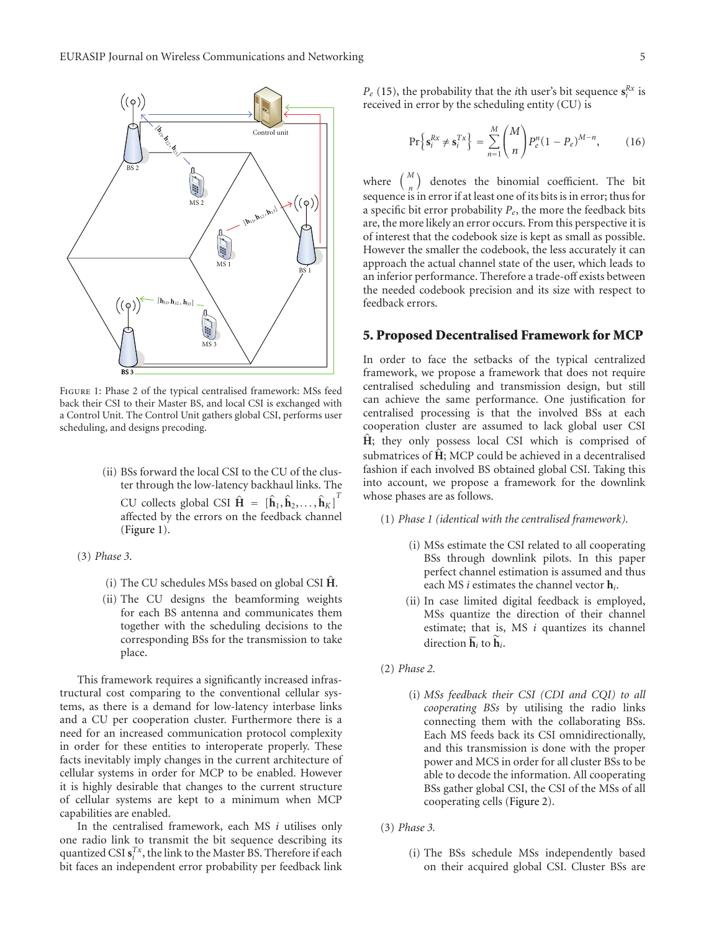

Figure 1: Phase 2 of the typical centralised framework: MSs feed back their CSI to their Master BS, and local CSI is exchanged with a Control Unit. The Control Unit gathers global CSI, performs user scheduling, and designs precoding.

(ii) BSs forward the local CSI to the CU of the cluster through the low-latency backhaul links. The CU collects global CSI  $\hat{\mathbf{H}} = \begin{bmatrix} \hat{\mathbf{h}}_1, \hat{\mathbf{h}}_2, \dots, \hat{\mathbf{h}}_K \end{bmatrix}^T$ affected by the errors on the feedback channel (Figure 1).

```
(3) Phase 3.
```
- (i) The CU schedules MSs based on global CSI **<sup>H</sup>** .
- (ii) The CU designs the beamforming weights for each BS antenna and communicates them together with the scheduling decisions to the corresponding BSs for the transmission to take place.

This framework requires a significantly increased infrastructural cost comparing to the conventional cellular systems, as there is a demand for low-latency interbase links and a CU per cooperation cluster. Furthermore there is a need for an increased communication protocol complexity in order for these entities to interoperate properly. These facts inevitably imply changes in the current architecture of cellular systems in order for MCP to be enabled. However it is highly desirable that changes to the current structure of cellular systems are kept to a minimum when MCP capabilities are enabled.

In the centralised framework, each MS *i* utilises only one radio link to transmit the bit sequence describing its quantized CSI  $\mathbf{s}_i^{Tx}$ , the link to the Master BS. Therefore if each bit faces an independent error probability per feedback link

 $P_e$  (15), the probability that the *i*th user's bit sequence  $\mathbf{s}_i^{Rx}$  is received in error by the scheduling entity (CU) is

$$
\Pr\left\{ \mathbf{s}_{i}^{Rx} \neq \mathbf{s}_{i}^{Tx} \right\} = \sum_{n=1}^{M} {M \choose n} P_{e}^{n} (1 - P_{e})^{M-n}, \tag{16}
$$

where  $\binom{M}{n}$  denotes the binomial coefficient. The bit sequence is in error if at least one of its bits is in error; thus for a specific bit error probability  $P_e$ , the more the feedback bits are, the more likely an error occurs. From this perspective it is of interest that the codebook size is kept as small as possible. However the smaller the codebook, the less accurately it can approach the actual channel state of the user, which leads to an inferior performance. Therefore a trade-off exists between the needed codebook precision and its size with respect to feedback errors.

### **5. Proposed Decentralised Framework for MCP**

In order to face the setbacks of the typical centralized framework, we propose a framework that does not require centralised scheduling and transmission design, but still can achieve the same performance. One justification for centralised processing is that the involved BSs at each cooperation cluster are assumed to lack global user CSI H<sub>2</sub> ithey only possess local CSI which is comprised of submatrices of  $\hat{H}$ ; MCP could be achieved in a decentralised fashion if each involved BS obtained global CSI. Taking this into account, we propose a framework for the downlink whose phases are as follows.

- (1) *Phase 1 (identical with the centralised framework).*
	- (i) MSs estimate the CSI related to all cooperating BSs through downlink pilots. In this paper perfect channel estimation is assumed and thus each MS *i* estimates the channel vector **h***i*.
	- (ii) In case limited digital feedback is employed, MSs quantize the direction of their channel estimate; that is, MS *i* quantizes its channel direction  $\overline{\mathbf{h}}_i$  to  $\overline{\mathbf{h}}_i$ .
- (2) *Phase 2.*
	- (i) *MSs feedback their CSI (CDI and CQI) to all cooperating BSs* by utilising the radio links connecting them with the collaborating BSs. Each MS feeds back its CSI omnidirectionally, and this transmission is done with the proper power and MCS in order for all cluster BSs to be able to decode the information. All cooperating BSs gather global CSI, the CSI of the MSs of all cooperating cells (Figure 2).
- (3) *Phase 3.*
	- (i) The BSs schedule MSs independently based on their acquired global CSI. Cluster BSs are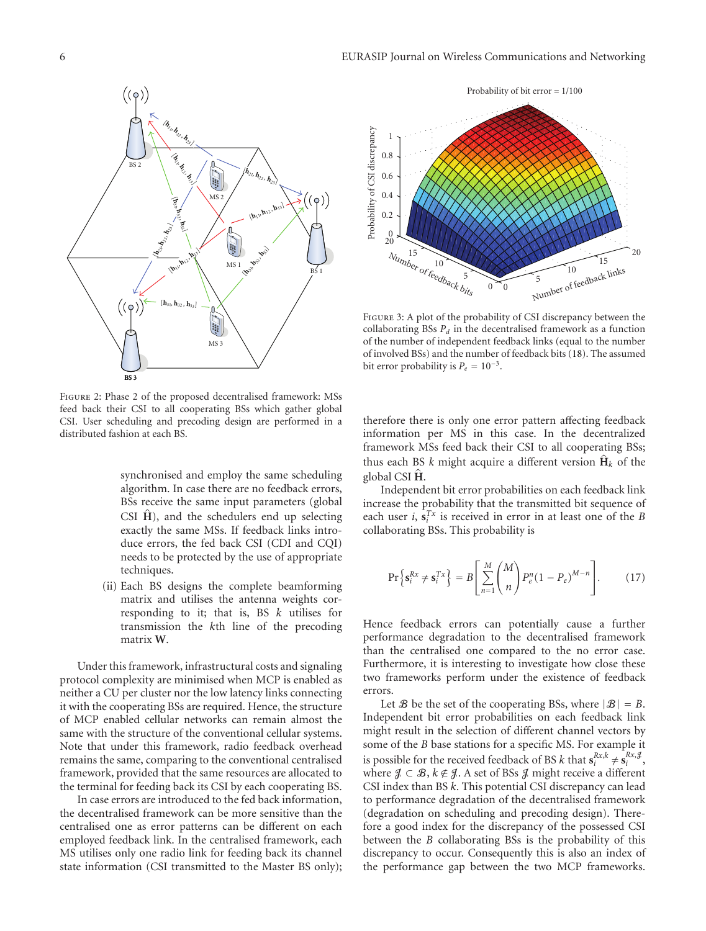

Figure 2: Phase 2 of the proposed decentralised framework: MSs feed back their CSI to all cooperating BSs which gather global CSI. User scheduling and precoding design are performed in a distributed fashion at each BS.

synchronised and employ the same scheduling algorithm. In case there are no feedback errors, BSs receive the same input parameters (global CSI  $\hat{H}$ ), and the schedulers end up selecting exactly the same MSs. If feedback links introduce errors, the fed back CSI (CDI and CQI) needs to be protected by the use of appropriate techniques.

(ii) Each BS designs the complete beamforming matrix and utilises the antenna weights corresponding to it; that is, BS *k* utilises for transmission the *k*th line of the precoding matrix **W**.

Under this framework, infrastructural costs and signaling protocol complexity are minimised when MCP is enabled as neither a CU per cluster nor the low latency links connecting it with the cooperating BSs are required. Hence, the structure of MCP enabled cellular networks can remain almost the same with the structure of the conventional cellular systems. Note that under this framework, radio feedback overhead remains the same, comparing to the conventional centralised framework, provided that the same resources are allocated to the terminal for feeding back its CSI by each cooperating BS.

In case errors are introduced to the fed back information, the decentralised framework can be more sensitive than the centralised one as error patterns can be different on each employed feedback link. In the centralised framework, each MS utilises only one radio link for feeding back its channel state information (CSI transmitted to the Master BS only);



Figure 3: A plot of the probability of CSI discrepancy between the collaborating BSs  $P_d$  in the decentralised framework as a function of the number of independent feedback links (equal to the number of involved BSs) and the number of feedback bits (18). The assumed bit error probability is  $P_e = 10^{-3}$ .

therefore there is only one error pattern affecting feedback information per MS in this case. In the decentralized framework MSs feed back their CSI to all cooperating BSs; thus each BS *k* might acquire a different version  $\hat{H}_k$  of the global CSI **<sup>H</sup>** .

Independent bit error probabilities on each feedback link increase the probability that the transmitted bit sequence of each user *i*,  $\overline{s}_i^{Tx}$  is received in error in at least one of the *B* collaborating BSs. This probability is

$$
\Pr\left\{\mathbf{s}_i^{Rx} \neq \mathbf{s}_i^{Tx}\right\} = B\left[\sum_{n=1}^M \binom{M}{n} P_e^n (1 - P_e)^{M-n}\right].\tag{17}
$$

Hence feedback errors can potentially cause a further performance degradation to the decentralised framework than the centralised one compared to the no error case. Furthermore, it is interesting to investigate how close these two frameworks perform under the existence of feedback errors.

Let  $\mathcal{B}$  be the set of the cooperating BSs, where  $|\mathcal{B}| = B$ . Independent bit error probabilities on each feedback link might result in the selection of different channel vectors by some of the *B* base stations for a specific MS. For example it is possible for the received feedback of BS *k* that  $\mathbf{s}_i^{Rx,k} \neq \mathbf{s}_i^{Rx,\mathcal{J}},$ where  $\mathcal{J} \subset \mathcal{B}$ ,  $k \notin \mathcal{J}$ . A set of BSs  $\mathcal{J}$  might receive a different CSI index than BS *k*. This potential CSI discrepancy can lead to performance degradation of the decentralised framework (degradation on scheduling and precoding design). Therefore a good index for the discrepancy of the possessed CSI between the *B* collaborating BSs is the probability of this discrepancy to occur. Consequently this is also an index of the performance gap between the two MCP frameworks.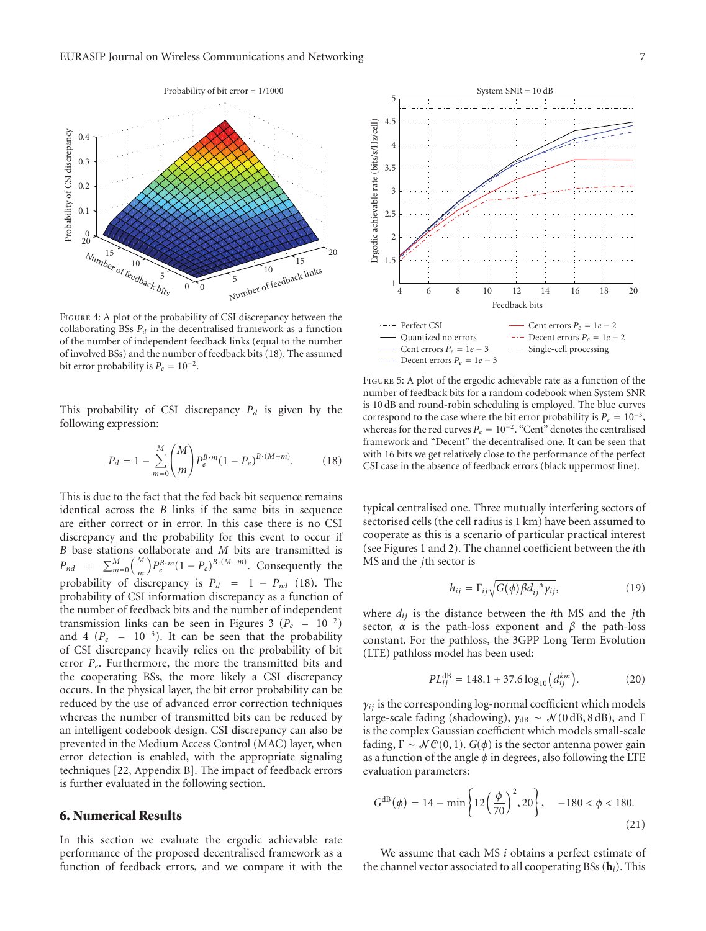

Figure 4: A plot of the probability of CSI discrepancy between the collaborating BSs  $P_d$  in the decentralised framework as a function of the number of independent feedback links (equal to the number of involved BSs) and the number of feedback bits (18). The assumed bit error probability is  $P_e = 10^{-2}$ .

This probability of CSI discrepancy  $P_d$  is given by the following expression:

$$
P_d = 1 - \sum_{m=0}^{M} {M \choose m} P_e^{B \cdot m} (1 - P_e)^{B \cdot (M - m)}.
$$
 (18)

This is due to the fact that the fed back bit sequence remains identical across the *B* links if the same bits in sequence are either correct or in error. In this case there is no CSI discrepancy and the probability for this event to occur if *B* base stations collaborate and *M* bits are transmitted is  $P_{nd} = \sum_{m=0}^{M} {M \choose m} P_e^{B \cdot m} (1 - P_e)^{B \cdot (M - m)}$ . Consequently the probability of discrepancy is  $P_d = 1 - P_{nd}$  (18). The probability of CSI information discrepancy as a function of the number of feedback bits and the number of independent transmission links can be seen in Figures 3 ( $P_e = 10^{-2}$ ) and 4 ( $P_e$  = 10<sup>-3</sup>). It can be seen that the probability of CSI discrepancy heavily relies on the probability of bit error *Pe*. Furthermore, the more the transmitted bits and the cooperating BSs, the more likely a CSI discrepancy occurs. In the physical layer, the bit error probability can be reduced by the use of advanced error correction techniques whereas the number of transmitted bits can be reduced by an intelligent codebook design. CSI discrepancy can also be prevented in the Medium Access Control (MAC) layer, when error detection is enabled, with the appropriate signaling techniques [22, Appendix B]. The impact of feedback errors is further evaluated in the following section.

### **6. Numerical Results**

In this section we evaluate the ergodic achievable rate performance of the proposed decentralised framework as a function of feedback errors, and we compare it with the



Figure 5: A plot of the ergodic achievable rate as a function of the number of feedback bits for a random codebook when System SNR is 10 dB and round-robin scheduling is employed. The blue curves correspond to the case where the bit error probability is  $P_e = 10^{-3}$ , whereas for the red curves  $P_e = 10^{-2}$ . "Cent" denotes the centralised framework and "Decent" the decentralised one. It can be seen that with 16 bits we get relatively close to the performance of the perfect CSI case in the absence of feedback errors (black uppermost line).

typical centralised one. Three mutually interfering sectors of sectorised cells (the cell radius is 1 km) have been assumed to cooperate as this is a scenario of particular practical interest (see Figures 1 and 2). The channel coefficient between the *i*th MS and the *j*th sector is

$$
h_{ij} = \Gamma_{ij} \sqrt{G(\phi) \beta d_{ij}^{-\alpha} \gamma_{ij}},
$$
\n(19)

where *dij* is the distance between the *i*th MS and the *j*th sector,  $\alpha$  is the path-loss exponent and  $\beta$  the path-loss constant. For the pathloss, the 3GPP Long Term Evolution (LTE) pathloss model has been used:

$$
PL_{ij}^{\text{dB}} = 148.1 + 37.6 \log_{10} \left( d_{ij}^{km} \right). \tag{20}
$$

 $\gamma_{ij}$  is the corresponding log-normal coefficient which models large-scale fading (shadowing),  $γ<sub>dB</sub> ~ N(0 dB, 8 dB)$ , and Γ is the complex Gaussian coefficient which models small-scale fading,  $\Gamma \sim \mathcal{NC}(0,1)$ .  $G(\phi)$  is the sector antenna power gain as a function of the angle  $\phi$  in degrees, also following the LTE evaluation parameters:

$$
G^{\text{dB}}(\phi) = 14 - \min\left\{12\left(\frac{\phi}{70}\right)^2, 20\right\}, \quad -180 < \phi < 180. \tag{21}
$$

We assume that each MS *i* obtains a perfect estimate of the channel vector associated to all cooperating BSs (**h***i*). This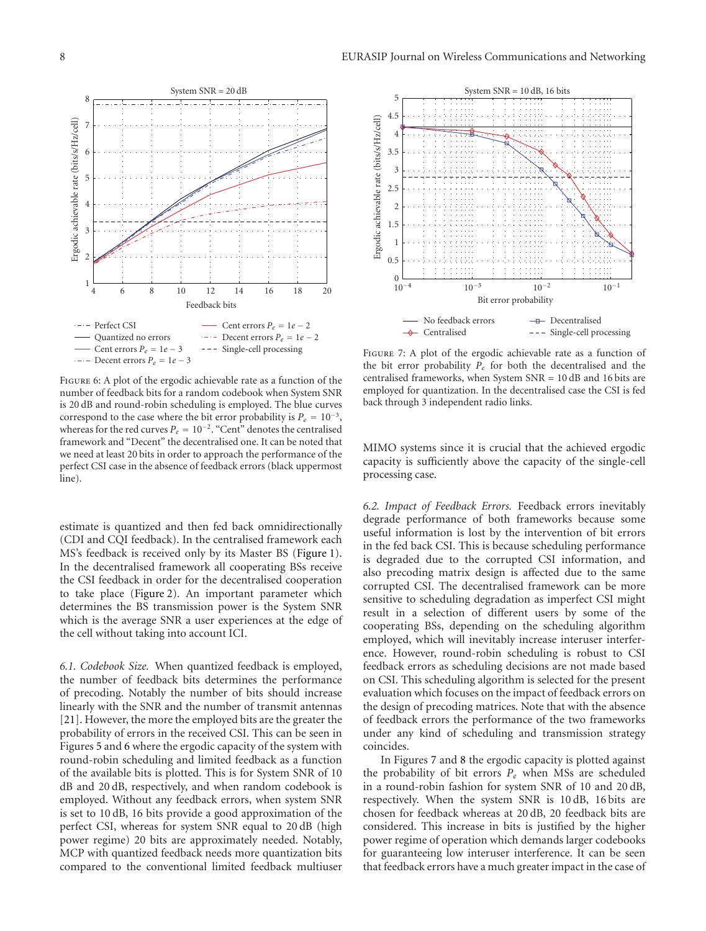

Figure 6: A plot of the ergodic achievable rate as a function of the number of feedback bits for a random codebook when System SNR is 20 dB and round-robin scheduling is employed. The blue curves correspond to the case where the bit error probability is  $P_e = 10^{-3}$ , whereas for the red curves  $P_e = 10^{-2}$ . "Cent" denotes the centralised framework and "Decent" the decentralised one. It can be noted that we need at least 20 bits in order to approach the performance of the perfect CSI case in the absence of feedback errors (black uppermost line).

estimate is quantized and then fed back omnidirectionally (CDI and CQI feedback). In the centralised framework each MS's feedback is received only by its Master BS (Figure 1). In the decentralised framework all cooperating BSs receive the CSI feedback in order for the decentralised cooperation to take place (Figure 2). An important parameter which determines the BS transmission power is the System SNR which is the average SNR a user experiences at the edge of the cell without taking into account ICI.

*6.1. Codebook Size.* When quantized feedback is employed, the number of feedback bits determines the performance of precoding. Notably the number of bits should increase linearly with the SNR and the number of transmit antennas [21]. However, the more the employed bits are the greater the probability of errors in the received CSI. This can be seen in Figures 5 and 6 where the ergodic capacity of the system with round-robin scheduling and limited feedback as a function of the available bits is plotted. This is for System SNR of 10 dB and 20 dB, respectively, and when random codebook is employed. Without any feedback errors, when system SNR is set to 10 dB, 16 bits provide a good approximation of the perfect CSI, whereas for system SNR equal to 20 dB (high power regime) 20 bits are approximately needed. Notably, MCP with quantized feedback needs more quantization bits compared to the conventional limited feedback multiuser



Figure 7: A plot of the ergodic achievable rate as a function of the bit error probability  $P_e$  for both the decentralised and the centralised frameworks, when System SNR = 10 dB and 16 bits are employed for quantization. In the decentralised case the CSI is fed back through 3 independent radio links.

MIMO systems since it is crucial that the achieved ergodic capacity is sufficiently above the capacity of the single-cell processing case.

*6.2. Impact of Feedback Errors.* Feedback errors inevitably degrade performance of both frameworks because some useful information is lost by the intervention of bit errors in the fed back CSI. This is because scheduling performance is degraded due to the corrupted CSI information, and also precoding matrix design is affected due to the same corrupted CSI. The decentralised framework can be more sensitive to scheduling degradation as imperfect CSI might result in a selection of different users by some of the cooperating BSs, depending on the scheduling algorithm employed, which will inevitably increase interuser interference. However, round-robin scheduling is robust to CSI feedback errors as scheduling decisions are not made based on CSI. This scheduling algorithm is selected for the present evaluation which focuses on the impact of feedback errors on the design of precoding matrices. Note that with the absence of feedback errors the performance of the two frameworks under any kind of scheduling and transmission strategy coincides.

In Figures 7 and 8 the ergodic capacity is plotted against the probability of bit errors *Pe* when MSs are scheduled in a round-robin fashion for system SNR of 10 and 20 dB, respectively. When the system SNR is 10 dB, 16 bits are chosen for feedback whereas at 20 dB, 20 feedback bits are considered. This increase in bits is justified by the higher power regime of operation which demands larger codebooks for guaranteeing low interuser interference. It can be seen that feedback errors have a much greater impact in the case of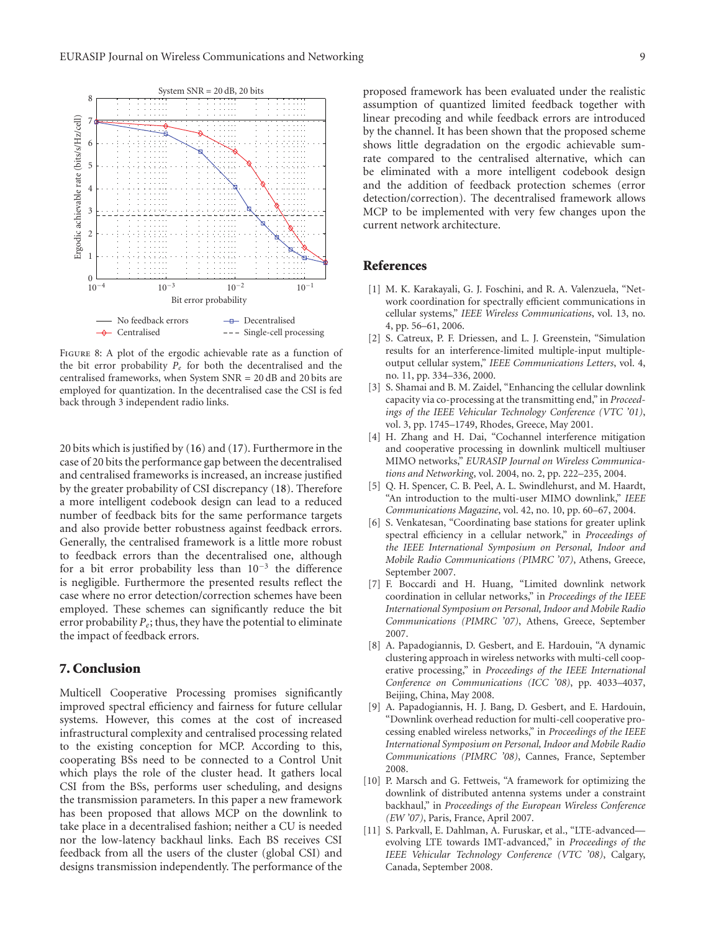

Figure 8: A plot of the ergodic achievable rate as a function of the bit error probability  $P_e$  for both the decentralised and the centralised frameworks, when System SNR = 20 dB and 20 bits are employed for quantization. In the decentralised case the CSI is fed back through 3 independent radio links.

20 bits which is justified by (16) and (17). Furthermore in the case of 20 bits the performance gap between the decentralised and centralised frameworks is increased, an increase justified by the greater probability of CSI discrepancy (18). Therefore a more intelligent codebook design can lead to a reduced number of feedback bits for the same performance targets and also provide better robustness against feedback errors. Generally, the centralised framework is a little more robust to feedback errors than the decentralised one, although for a bit error probability less than 10<sup>−</sup><sup>3</sup> the difference is negligible. Furthermore the presented results reflect the case where no error detection/correction schemes have been employed. These schemes can significantly reduce the bit error probability  $P_e$ ; thus, they have the potential to eliminate the impact of feedback errors.

### **7. Conclusion**

Multicell Cooperative Processing promises significantly improved spectral efficiency and fairness for future cellular systems. However, this comes at the cost of increased infrastructural complexity and centralised processing related to the existing conception for MCP. According to this, cooperating BSs need to be connected to a Control Unit which plays the role of the cluster head. It gathers local CSI from the BSs, performs user scheduling, and designs the transmission parameters. In this paper a new framework has been proposed that allows MCP on the downlink to take place in a decentralised fashion; neither a CU is needed nor the low-latency backhaul links. Each BS receives CSI feedback from all the users of the cluster (global CSI) and designs transmission independently. The performance of the

proposed framework has been evaluated under the realistic assumption of quantized limited feedback together with linear precoding and while feedback errors are introduced by the channel. It has been shown that the proposed scheme shows little degradation on the ergodic achievable sumrate compared to the centralised alternative, which can be eliminated with a more intelligent codebook design and the addition of feedback protection schemes (error detection/correction). The decentralised framework allows MCP to be implemented with very few changes upon the current network architecture.

### **References**

- [1] M. K. Karakayali, G. J. Foschini, and R. A. Valenzuela, "Network coordination for spectrally efficient communications in cellular systems," *IEEE Wireless Communications*, vol. 13, no. 4, pp. 56–61, 2006.
- [2] S. Catreux, P. F. Driessen, and L. J. Greenstein, "Simulation results for an interference-limited multiple-input multipleoutput cellular system," *IEEE Communications Letters*, vol. 4, no. 11, pp. 334–336, 2000.
- [3] S. Shamai and B. M. Zaidel, "Enhancing the cellular downlink capacity via co-processing at the transmitting end," in *Proceedings of the IEEE Vehicular Technology Conference (VTC '01)*, vol. 3, pp. 1745–1749, Rhodes, Greece, May 2001.
- [4] H. Zhang and H. Dai, "Cochannel interference mitigation and cooperative processing in downlink multicell multiuser MIMO networks," *EURASIP Journal on Wireless Communications and Networking*, vol. 2004, no. 2, pp. 222–235, 2004.
- [5] Q. H. Spencer, C. B. Peel, A. L. Swindlehurst, and M. Haardt, "An introduction to the multi-user MIMO downlink," *IEEE Communications Magazine*, vol. 42, no. 10, pp. 60–67, 2004.
- [6] S. Venkatesan, "Coordinating base stations for greater uplink spectral efficiency in a cellular network," in *Proceedings of the IEEE International Symposium on Personal, Indoor and Mobile Radio Communications (PIMRC '07)*, Athens, Greece, September 2007.
- [7] F. Boccardi and H. Huang, "Limited downlink network coordination in cellular networks," in *Proceedings of the IEEE International Symposium on Personal, Indoor and Mobile Radio Communications (PIMRC '07)*, Athens, Greece, September 2007.
- [8] A. Papadogiannis, D. Gesbert, and E. Hardouin, "A dynamic clustering approach in wireless networks with multi-cell cooperative processing," in *Proceedings of the IEEE International Conference on Communications (ICC '08)*, pp. 4033–4037, Beijing, China, May 2008.
- [9] A. Papadogiannis, H. J. Bang, D. Gesbert, and E. Hardouin, "Downlink overhead reduction for multi-cell cooperative processing enabled wireless networks," in *Proceedings of the IEEE International Symposium on Personal, Indoor and Mobile Radio Communications (PIMRC '08)*, Cannes, France, September 2008.
- [10] P. Marsch and G. Fettweis, "A framework for optimizing the downlink of distributed antenna systems under a constraint backhaul," in *Proceedings of the European Wireless Conference (EW '07)*, Paris, France, April 2007.
- [11] S. Parkvall, E. Dahlman, A. Furuskar, et al., "LTE-advanced evolving LTE towards IMT-advanced," in *Proceedings of the IEEE Vehicular Technology Conference (VTC '08)*, Calgary, Canada, September 2008.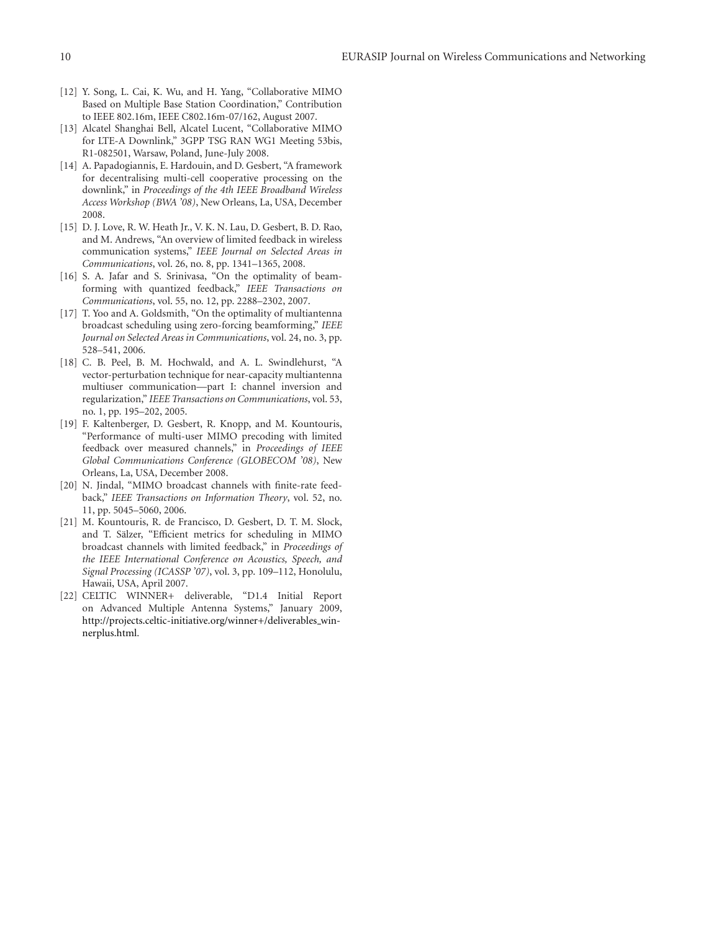- [12] Y. Song, L. Cai, K. Wu, and H. Yang, "Collaborative MIMO Based on Multiple Base Station Coordination," Contribution to IEEE 802.16m, IEEE C802.16m-07/162, August 2007.
- [13] Alcatel Shanghai Bell, Alcatel Lucent, "Collaborative MIMO for LTE-A Downlink," 3GPP TSG RAN WG1 Meeting 53bis, R1-082501, Warsaw, Poland, June-July 2008.
- [14] A. Papadogiannis, E. Hardouin, and D. Gesbert, "A framework for decentralising multi-cell cooperative processing on the downlink," in *Proceedings of the 4th IEEE Broadband Wireless Access Workshop (BWA '08)*, New Orleans, La, USA, December 2008.
- [15] D. J. Love, R. W. Heath Jr., V. K. N. Lau, D. Gesbert, B. D. Rao, and M. Andrews, "An overview of limited feedback in wireless communication systems," *IEEE Journal on Selected Areas in Communications*, vol. 26, no. 8, pp. 1341–1365, 2008.
- [16] S. A. Jafar and S. Srinivasa, "On the optimality of beamforming with quantized feedback," *IEEE Transactions on Communications*, vol. 55, no. 12, pp. 2288–2302, 2007.
- [17] T. Yoo and A. Goldsmith, "On the optimality of multiantenna broadcast scheduling using zero-forcing beamforming," *IEEE Journal on Selected Areas in Communications*, vol. 24, no. 3, pp. 528–541, 2006.
- [18] C. B. Peel, B. M. Hochwald, and A. L. Swindlehurst, "A vector-perturbation technique for near-capacity multiantenna multiuser communication—part I: channel inversion and regularization," *IEEE Transactions on Communications*, vol. 53, no. 1, pp. 195–202, 2005.
- [19] F. Kaltenberger, D. Gesbert, R. Knopp, and M. Kountouris, "Performance of multi-user MIMO precoding with limited feedback over measured channels," in *Proceedings of IEEE Global Communications Conference (GLOBECOM '08)*, New Orleans, La, USA, December 2008.
- [20] N. Jindal, "MIMO broadcast channels with finite-rate feedback," *IEEE Transactions on Information Theory*, vol. 52, no. 11, pp. 5045–5060, 2006.
- [21] M. Kountouris, R. de Francisco, D. Gesbert, D. T. M. Slock, and T. Sälzer, "Efficient metrics for scheduling in MIMO broadcast channels with limited feedback," in *Proceedings of the IEEE International Conference on Acoustics, Speech, and Signal Processing (ICASSP '07)*, vol. 3, pp. 109–112, Honolulu, Hawaii, USA, April 2007.
- [22] CELTIC WINNER+ deliverable, "D1.4 Initial Report on Advanced Multiple Antenna Systems," January 2009, http://projects.celtic-initiative.org/winner+/deliverables winnerplus.html.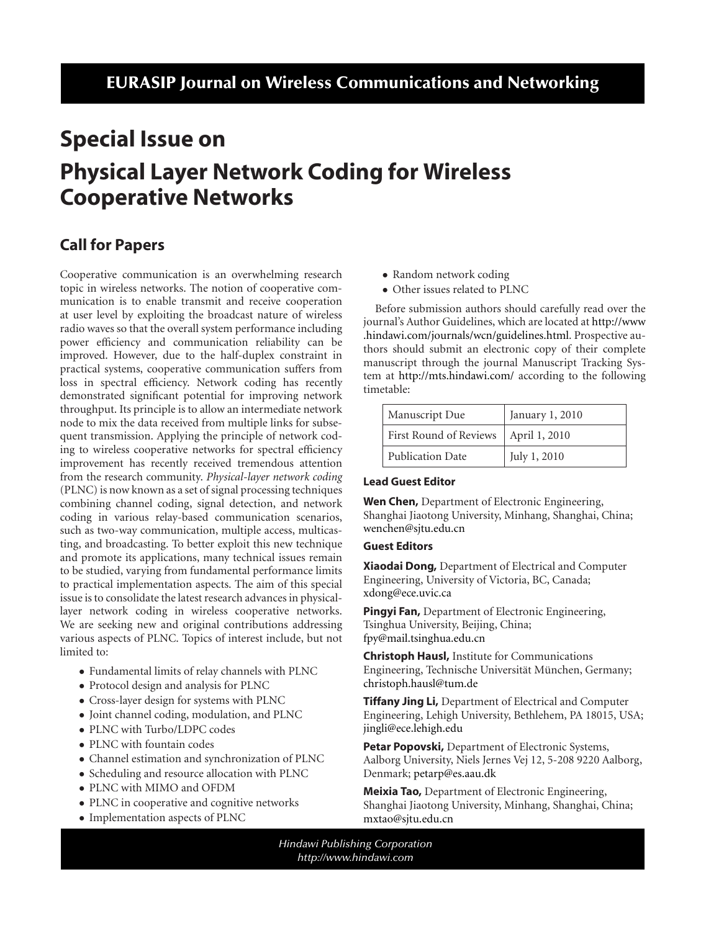## **Special Issue on Physical Layer Network Coding for Wireless Cooperative Networks**

### **Call for Papers**

Cooperative communication is an overwhelming research topic in wireless networks. The notion of cooperative communication is to enable transmit and receive cooperation at user level by exploiting the broadcast nature of wireless radio waves so that the overall system performance including power efficiency and communication reliability can be improved. However, due to the half-duplex constraint in practical systems, cooperative communication suffers from loss in spectral efficiency. Network coding has recently demonstrated significant potential for improving network throughput. Its principle is to allow an intermediate network node to mix the data received from multiple links for subsequent transmission. Applying the principle of network coding to wireless cooperative networks for spectral efficiency improvement has recently received tremendous attention from the research community. *Physical-layer network coding* (PLNC) is now known as a set of signal processing techniques combining channel coding, signal detection, and network coding in various relay-based communication scenarios, such as two-way communication, multiple access, multicasting, and broadcasting. To better exploit this new technique and promote its applications, many technical issues remain to be studied, varying from fundamental performance limits to practical implementation aspects. The aim of this special issue is to consolidate the latest research advances in physicallayer network coding in wireless cooperative networks. We are seeking new and original contributions addressing various aspects of PLNC. Topics of interest include, but not limited to:

- Fundamental limits of relay channels with PLNC
- Protocol design and analysis for PLNC
- Cross-layer design for systems with PLNC
- Joint channel coding, modulation, and PLNC
- PLNC with Turbo/LDPC codes
- PLNC with fountain codes
- Channel estimation and synchronization of PLNC
- Scheduling and resource allocation with PLNC
- PLNC with MIMO and OFDM
- PLNC in cooperative and cognitive networks
- Implementation aspects of PLNC
- Random network coding
- Other issues related to PLNC

Before submission authors should carefully read over the journal's Author Guidelines, which are located at [http://www](http://www.hindawi.com/journals/wcn/guidelines.html) [.hindawi.com/journals/wcn/guidelines.html.](http://www.hindawi.com/journals/wcn/guidelines.html) Prospective authors should submit an electronic copy of their complete manuscript through the journal Manuscript Tracking System at <http://mts.hindawi.com/> according to the following timetable:

| Manuscript Due                         | January 1, 2010 |
|----------------------------------------|-----------------|
| First Round of Reviews   April 1, 2010 |                 |
| <b>Publication Date</b>                | July 1, 2010    |

### **Lead Guest Editor**

**Wen Chen,** Department of Electronic Engineering, Shanghai Jiaotong University, Minhang, Shanghai, China; [wenchen@sjtu.edu.cn](mailto:wenchen@sjtu.edu.cn)

### **Guest Editors**

**Xiaodai Dong,** Department of Electrical and Computer Engineering, University of Victoria, BC, Canada; [xdong@ece.uvic.ca](mailto:xdong@ece.uvic.ca)

**Pingyi Fan,** Department of Electronic Engineering, Tsinghua University, Beijing, China; [fpy@mail.tsinghua.edu.cn](mailto:fpy@mail.tsinghua.edu.cn)

**Christoph Hausl,** Institute for Communications Engineering, Technische Universität München, Germany; [christoph.hausl@tum.de](mailto:christoph.hausl@tum.de)

**Tiffany Jing Li,** Department of Electrical and Computer Engineering, Lehigh University, Bethlehem, PA 18015, USA; [jingli@ece.lehigh.edu](mailto:jingli@ece.lehigh.edu)

**Petar Popovski,** Department of Electronic Systems, Aalborg University, Niels Jernes Vej 12, 5-208 9220 Aalborg, Denmark; [petarp@es.aau.dk](mailto:petarp@es.aau.dk)

**Meixia Tao,** Department of Electronic Engineering, Shanghai Jiaotong University, Minhang, Shanghai, China; [mxtao@sjtu.edu.cn](mailto:mxtao@sjtu.edu.cn)

*Hindawi Publishing Corporation http://www.hindawi.com*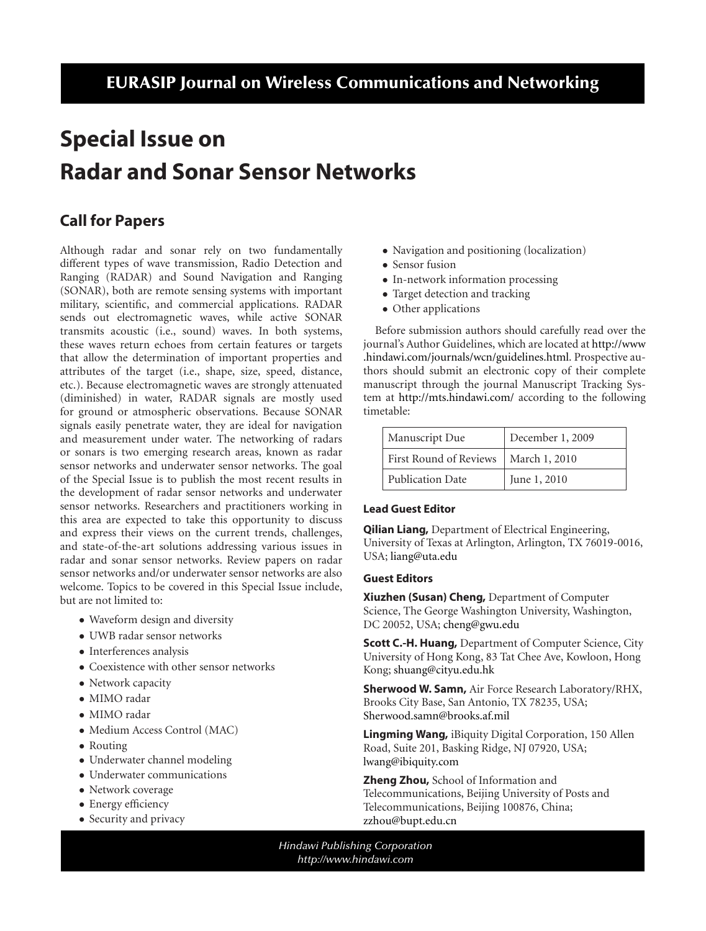# **Special Issue on Radar and Sonar Sensor Networks**

### **Call for Papers**

Although radar and sonar rely on two fundamentally different types of wave transmission, Radio Detection and Ranging (RADAR) and Sound Navigation and Ranging (SONAR), both are remote sensing systems with important military, scientific, and commercial applications. RADAR sends out electromagnetic waves, while active SONAR transmits acoustic (i.e., sound) waves. In both systems, these waves return echoes from certain features or targets that allow the determination of important properties and attributes of the target (i.e., shape, size, speed, distance, etc.). Because electromagnetic waves are strongly attenuated (diminished) in water, RADAR signals are mostly used for ground or atmospheric observations. Because SONAR signals easily penetrate water, they are ideal for navigation and measurement under water. The networking of radars or sonars is two emerging research areas, known as radar sensor networks and underwater sensor networks. The goal of the Special Issue is to publish the most recent results in the development of radar sensor networks and underwater sensor networks. Researchers and practitioners working in this area are expected to take this opportunity to discuss and express their views on the current trends, challenges, and state-of-the-art solutions addressing various issues in radar and sonar sensor networks. Review papers on radar sensor networks and/or underwater sensor networks are also welcome. Topics to be covered in this Special Issue include, but are not limited to:

- Waveform design and diversity
- UWB radar sensor networks
- Interferences analysis
- Coexistence with other sensor networks
- Network capacity
- MIMO radar
- MIMO radar
- Medium Access Control (MAC)
- Routing
- Underwater channel modeling
- Underwater communications
- Network coverage
- Energy efficiency
- Security and privacy
- Navigation and positioning (localization)
- Sensor fusion
- In-network information processing
- Target detection and tracking
- Other applications

Before submission authors should carefully read over the journal's Author Guidelines, which are located at [http://www](http://www.hindawi.com/journals/wcn/guidelines.html) [.hindawi.com/journals/wcn/guidelines.html.](http://www.hindawi.com/journals/wcn/guidelines.html) Prospective authors should submit an electronic copy of their complete manuscript through the journal Manuscript Tracking System at <http://mts.hindawi.com/> according to the following timetable:

| Manuscript Due                         | December 1, 2009 |
|----------------------------------------|------------------|
| First Round of Reviews   March 1, 2010 |                  |
| Publication Date                       | June 1, 2010     |

### **Lead Guest Editor**

**Qilian Liang,** Department of Electrical Engineering, University of Texas at Arlington, Arlington, TX 76019-0016, USA; [liang@uta.edu](mailto:liang@uta.edu)

### **Guest Editors**

**Xiuzhen (Susan) Cheng,** Department of Computer Science, The George Washington University, Washington, DC 20052, USA; [cheng@gwu.edu](mailto:cheng@gwu.edu)

**Scott C.-H. Huang,** Department of Computer Science, City University of Hong Kong, 83 Tat Chee Ave, Kowloon, Hong Kong; [shuang@cityu.edu.hk](mailto:shuang@cityu.edu.hk)

**Sherwood W. Samn,** Air Force Research Laboratory/RHX, Brooks City Base, San Antonio, TX 78235, USA; [Sherwood.samn@brooks.af.mil](mailto:Sherwood.samn@brooks.af.mil)

**Lingming Wang,** iBiquity Digital Corporation, 150 Allen Road, Suite 201, Basking Ridge, NJ 07920, USA; [lwang@ibiquity.com](mailto:lwang@ibiquity.com)

**Zheng Zhou,** School of Information and Telecommunications, Beijing University of Posts and Telecommunications, Beijing 100876, China; [zzhou@bupt.edu.cn](mailto:zzhou@bupt.edu.cn)

*Hindawi Publishing Corporation http://www.hindawi.com*